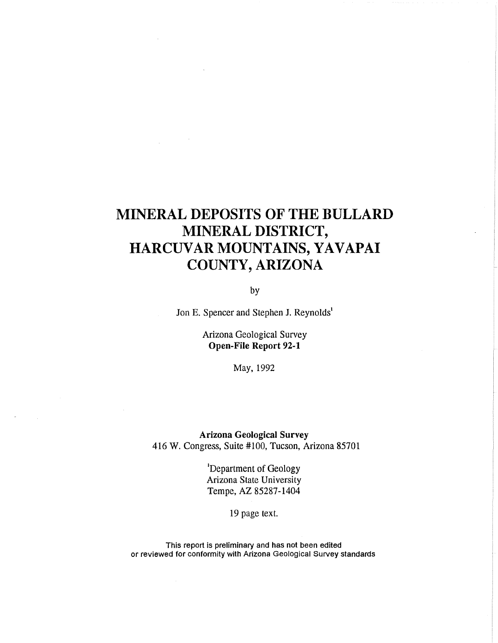# **MINERAL DEPOSITS OF THE BULLARD MINERAL DISTRICT,**  HARCUVAR MOUNTAINS, **YAVAPAI COUNTY, ARIZONA**

by

Jon E. Spencer and Stephen J. Reynolds·

Arizona Geological Survey **Open-File Report 92-1** 

May, 1992

**Arizona Geological Survey**  416 W. Congress, Suite #100, Tucson, Arizona 85701

> ·Department of Geology Arizona State University Tempe, AZ 85287-1404

> > 19 page text.

This report is preliminary and has not been edited or reviewed for conformity with Arizona Geological Survey standards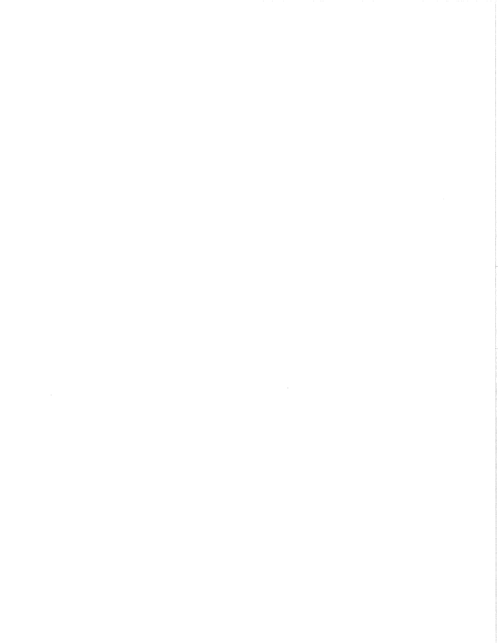$\label{eq:2.1} \frac{1}{\sqrt{2}}\int_{\mathbb{R}^3}\frac{1}{\sqrt{2}}\left(\frac{1}{\sqrt{2}}\right)^2\frac{1}{\sqrt{2}}\left(\frac{1}{\sqrt{2}}\right)^2\frac{1}{\sqrt{2}}\left(\frac{1}{\sqrt{2}}\right)^2.$  $\label{eq:2.1} \frac{1}{\sqrt{2}}\int_{\mathbb{R}^3} \frac{1}{\sqrt{2}}\left(\frac{1}{\sqrt{2}}\right)^2\left(\frac{1}{\sqrt{2}}\right)^2\left(\frac{1}{\sqrt{2}}\right)^2\left(\frac{1}{\sqrt{2}}\right)^2\left(\frac{1}{\sqrt{2}}\right)^2.$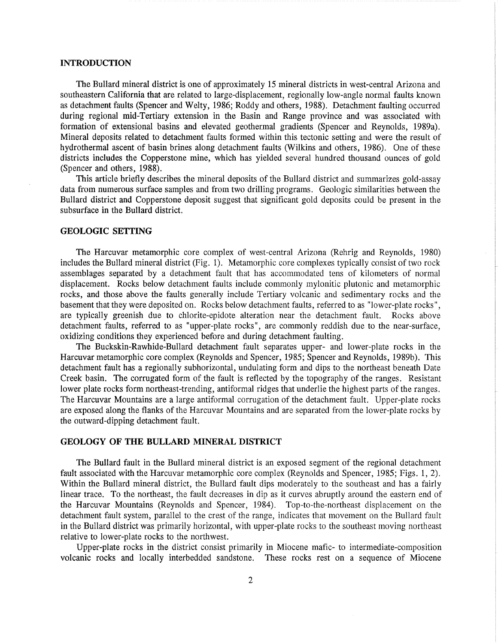# **INTRODUCTION**

The Bullard mineral district is one of approximately 15 mineral districts in west-central Arizona and southeastern California that are related to large-displacement, regionally low-angle normal faults known as detachment faults (Spencer and Welty, 1986; Roddy and others, 1988). Detachment faulting occurred during regional mid-Tertiary extension in the Basin and Range province and was associated with formation of extensional basins and elevated geothermal gradients (Spencer and Reynolds, 1989a). Mineral deposits related to detachment faults formed within this tectonic setting and were the result of hydrothermal ascent of basin brines along detachment faults (Wilkins and others, 1986). One of these districts includes the Copperstone mine, which has yielded several hundred thousand ounces of gold (Spencer and others, 1988).

This article briefly describes the mineral deposits of the Bullard district and summarizes gold-assay data from numerous surface samples and from two drilling programs. Geologic similarities between the Bullard district and Copperstone deposit suggest that significant gold deposits could be present in the subsurface in the Bullard district.

## **GEOLOGIC SETTING**

The Harcuvar metamorphic core complex of west-central Arizona (Rehrig and Reynolds, 1980) includes the Bullard mineral district (Fig. 1). Metamorphic core complexes typically consist of two rock assemblages separated by a detachment fault that has accommodated tens of kilometers of normal displacement. Rocks below detachment faults include commonly mylonitic plutonic and metamorphic rocks, and those above the faults generally include Tertiary volcanic and sedimentary rocks and the basement that they were deposited on. Rocks below detachment faults, referred to as "lower-plate rocks" , are typically greenish due to chlorite-epidote alteration near the detachment fault. Rocks above detachment faults, referred to as "upper-plate rocks", are commonly reddish due to the near-surface, oxidizing conditions they experienced before and during detachment faulting.

The Buckskin-Rawhide-Bullard detachment fault separates upper- and lower-plate rocks in the Harcuvar metamorphic core complex (Reynolds and Spencer, 1985; Spencer and Reynolds, 1989b). This detachment fault has a regionally subhorizontal, undulating form and dips to the northeast beneath Date Creek basin. The corrugated form of the fault is reflected by the topography of the ranges. Resistant lower plate rocks form northeast-trending, antiformal ridges that underlie the highest parts of the ranges. The Harcuvar Mountains are a large antiformal corrugation of the detachment fault. Upper-plate rocks are exposed along the flanks of the Harcuvar Mountains and are separated from the lower-plate rocks by the outward-dipping detachment fault.

## **GEOLOGY OF THE BULLARD MINERAL DISTRICT**

The Bullard fault in the Bullard mineral district is an exposed segment of the regional detachment fault associated with the Harcuvar metamorphic core complex (Reynolds and Spencer, 1985; Figs. 1, 2). Within the Bullard mineral district, the Bullard fault dips moderately to the southeast and has a fairly linear trace. To the northeast, the fault decreases in dip as it curves abruptly around the eastern end of the Harcuvar Mountains (Reynolds and Spencer, 1984). Top-to-the-northeast displacement on the detachment fault system, parallel to the crest of the range, indicates that movement on the Bullard fault in the Bullard district was primarily horizontal, with upper-plate rocks to the southeast moving northeast relative to lower-plate rocks to the northwest.

Upper-plate rocks in the district consist primarily in Miocene mafic- to intermediate-composition volcanic rocks and locally interbedded sandstone. These rocks rest on a sequence of Miocene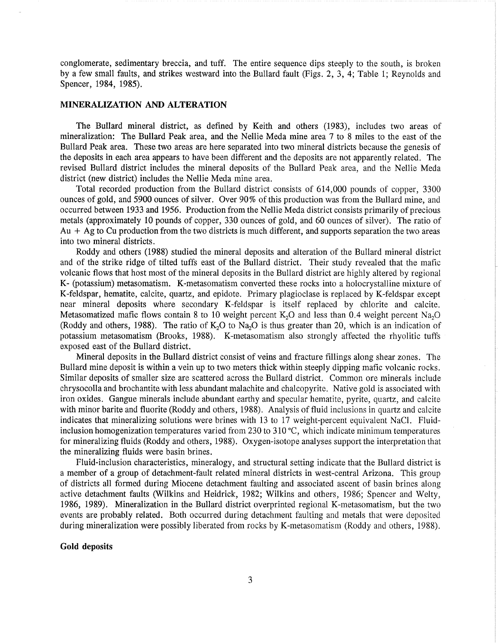conglomerate, sedimentary breccia, and tuff. The entire sequence dips steeply to the south, is broken by a few small faults, and strikes westward into the Bullard fault (Figs. 2, 3, 4; Table 1; Reynolds and Spencer, 1984, 1985).

# **MINERALIZATION AND ALTERATION**

The Bullard mineral district, as defined by Keith and others (1983), includes two areas of mineralization: The Bullard Peak area, and the Nellie Meda mine area 7 to 8 miles to the east of the Bullard Peak area. These two areas are here separated into two mineral districts because the genesis of the deposits in each area appears to have been different and the deposits are not apparently related. The revised Bullard district includes the mineral deposits of the Bullard Peak area, and the Nellie Meda district (new district) includes the Nellie Meda mine area.

Total recorded production from the Bullard district consists of 614,000 pounds of copper, 3300 ounces of gold, and 5900 ounces of silver. Over 90% of this production was from the Bullard mine, and occurred between 1933 and 1956. Production from the Nellie Meda district consists primarily of precious metals (approximately 10 pounds of copper, 330 ounces of gold, and 60 ounces of silver). The ratio of  $Au + Ag$  to Cu production from the two districts is much different, and supports separation the two areas into two mineral districts.

Roddy and others (1988) studied the mineral deposits and alteration of the Bullard mineral district and of the strike ridge of tilted tuffs east of the Bullard district. Their study revealed that the mafic volcanic flows that host most of the mineral deposits in the Bullard district are highly altered by regional K- (potassium) metasomatism. K-metasomatism converted these rocks into a holocrystalline mixture of K-feldspar, hematite, calcite, quartz, and epidote. Primary plagioclase is replaced by K-feldspar except near mineral deposits where secondary K-feldspar is itself replaced by chlorite and calcite. Metasomatized mafic flows contain 8 to 10 weight percent  $K_2O$  and less than 0.4 weight percent Na<sub>2</sub>O (Roddy and others, 1988). The ratio of K<sub>2</sub>O to N<sub>a<sub>2</sub>O is thus greater than 20, which is an indication of</sub> potassium metasomatism (Brooks, 1988). K-metasomatism also strongly affected the rhyolitic tuffs exposed east of the Bullard district.

Mineral deposits in the Bullard district consist of veins and fracture fillings along shear zones. The Bullard mine deposit is within a vein up to two meters thick within steeply dipping mafic volcanic rocks. Similar deposits of smaller size are scattered across the Bullard district. Common ore minerals include chrysocolla and brochantite with less abundant malachite and chalcopyrite. Native gold is associated with iron oxides. Gangue minerals include abundant earthy and specular hematite, pyrite, quartz, and calcite with minor barite and fluorite (Roddy and others, 1988). Analysis of fluid inclusions in quartz and calcite indicates that mineralizing solutions were brines with 13 to 17 weight-percent equivalent NaCl. Fluidinclusion homogenization temperatures varied from 230 to 310  $^{\circ}$ C, which indicate minimum temperatures for mineralizing fluids (Roddy and others, 1988). Oxygen-isotope analyses support the interpretation that the mineralizing fluids were basin brines.

Fluid-inclusion characteristics, mineralogy, and structural setting indicate that the Bullard district is a member of a group of detachment-fault related mineral districts in west-central Arizona. This group of districts all formed during Miocene detachment faulting and associated ascent of basin brines along active detachment faults (Wilkins and Heidrick, 1982; Wilkins and others, 1986; Spencer and Welty, 1986, 1989). Mineralization in the Bullard district overprinted regional K-metasomatism, but the two events are probably related. Both occurred during detachment faulting and metals that were deposited during mineralization were possibly liberated from rocks by K-metasomatism (Roddy and others, 1988).

## **Gold deposits**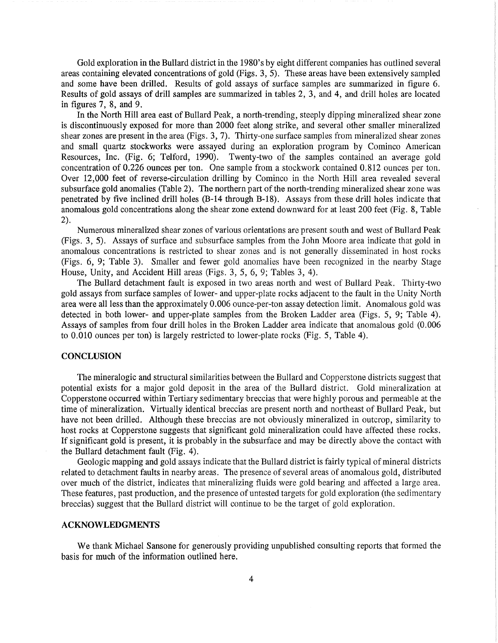Gold exploration in the Bullard district in the 1980's by eight different companies has outlined several areas containing elevated concentrations of gold (Figs. 3, 5). These areas have been extensively sampled and some have been drilled. Results of gold assays of surface samples are summarized in figure 6. Results of gold assays of drill samples are summarized in tables 2, 3, and 4, and drill holes are located in figures 7, 8, and 9.

In the North Hill area east of Bullard Peak, a north-trending, steeply dipping mineralized shear zone is discontinuously exposed for more than 2000 feet along strike, and several other smaller mineralized shear zones are present in the area (Figs. 3, 7). Thirty-one surface samples from mineralized shear zones and small quartz stockworks were assayed during an exploration program by Cominco American Resources, Inc. (Fig. 6; Telford, 1990). Twenty-two of the samples contained an average gold concentration of 0.226 ounces per ton. One sample from a stockwork contained 0.812 ounces per ton. Over 12,000 feet of reverse-circulation drilling by Cominco in the North Hill area revealed several subsurface gold anomalies (Table 2). The northern part of the north-trending mineralized shear zone was penetrated by five inclined drill holes (B-14 through B-18). Assays from these drill holes indicate that anomalous gold concentrations along the shear zone extend downward for at least 200 feet (Fig. 8, Table 2).

Numerous mineralized shear zones of various orientations are present south and west of Bullard Peak (Figs. 3, 5). Assays of surface and subsurface samples from the John Moore area indicate that gold in anomalous concentrations is restricted to shear zones and is not generally disseminated in host rocks (Figs. 6, 9; Table 3). Smaller and fewer gold anomalies have been recognized in the nearby Stage House, Unity, and Accident Hill areas (Figs. 3, 5, 6, 9; Tables 3, 4).

The Bullard detachment fault is exposed in two areas north and west of Bullard Peak. Thirty-two gold assays from surface samples of lower- and upper-plate rocks adjacent to the fault in the Unity North area were all less than the approximately 0.006 ounce-per-ton assay detection limit. Anomalous gold was detected in both lower- and upper-plate samples from the Broken Ladder area (Figs. 5, 9; Table 4). Assays of samples from four drill holes in the Broken Ladder area indicate that anomalous gold (0.006 to 0.010 ounces per ton) is largely restricted to lower-plate rocks (Fig. 5, Table 4).

### **CONCLUSION**

The mineralogic and structural similarities between the Bullard and Copperstone districts suggest that potential exists for a major gold deposit in the area of the Bullard district. Gold mineralization at Copperstone occurred within Tertiary sedimentary breccias that were highly porous and permeable at the time of mineralization. Virtually identical breccias are present north and northeast of Bullard Peak, but have not been drilled. Although these breccias are not obviously mineralized in outcrop, similarity to host rocks at Copperstone suggests that significant gold mineralization could have affected these rocks. If significant gold is present, it is probably in the subsurface and may be directly above the contact with the Bullard detachment fault (Fig. 4).

Geologic mapping and gold assays indicate that the Bullard district is fairly typical of mineral districts related to detachment faults in nearby areas. The presence of several areas of anomalous gold, distributed over much of the district, indicates that mineralizing fluids were gold bearing and affected a large area. These features, past production, and the presence of untested targets for gold exploration (the sedimentary breccias) suggest that the Bullard district will continue to be the target of gold exploration.

### ACKNOWLEDGMENTS

We thank Michael Sansone for generously providing unpublished consulting reports that formed the basis for much of the information outlined here.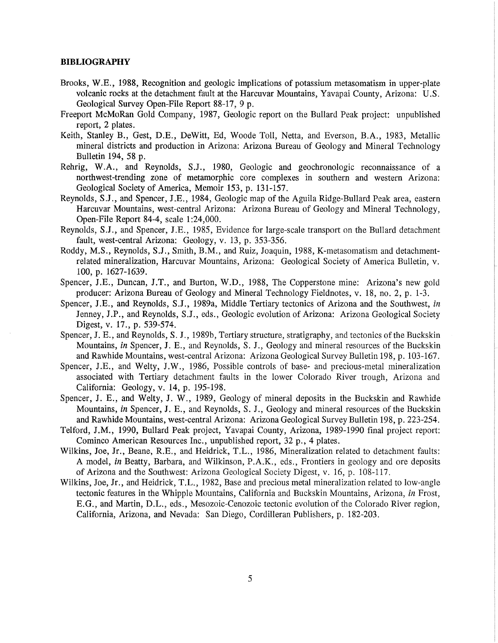#### **BIBLIOGRAPHY**

- Brooks, W.E., 1988, Recognition and geologic implications of potassium metasomatism in upper-plate volcanic rocks at the detachment fault at the Harcuvar Mountains, Yavapai County, Arizona: U.S. Geological Survey Open-File Report 88-17, 9 p.
- Freeport McMoRan Gold Company, 1987, Geologic report on the Bullard Peak project: unpublished report, 2 plates.
- Keith, Stanley B., Gest, D.E., DeWitt, Ed, Woode Toll, Netta, and Everson, B.A., 1983, Metallic mineral districts and production in Arizona: Arizona Bureau of Geology and Mineral Technology Bulletin 194, 58 p.
- Rehrig, W.A., and Reynolds, S.L, 1980, Geologic and geochronologic reconnaissance of a northwest-trending zone of metamorphic core complexes in southern and western Arizona: Geological Society of America, Memoir 153, p. 131-157.
- Reynolds, S.J., and Spencer, J.E., 1984, Geologic map of the Aguila Ridge-Bullard Peak area, eastern Harcuvar Mountains, west-central Arizona: Arizona Bureau of Geology and Mineral Technology, Open-File Report 84-4, scale 1:24,000.
- Reynolds, SJ., and Spencer, I.E., 1985, Evidence for large-scale transport on the Bullard detachment fault, west-central Arizona: Geology, v. 13, p. 353-356.
- Roddy, M.S., Reynolds, S.L, Smith, B.M., and Ruiz, Joaquin, 1988, K-metasomatism and detachmentrelated mineralization, Harcuvar Mountains, Arizona: Geological Society of America Bulletin, v. 100, p. 1627-1639.
- Spencer, J.E., Duncan, LT., and Burton, W.D., 1988, The Copperstone mine: Arizona's new gold producer: Arizona Bureau of Geology and Mineral Technology Fieldnotes, v. 18, no. 2, p. 1-3.
- Spencer, I.E., and Reynolds, S.L, 1989a, Middle Tertiary tectonics of Arizona and the Southwest, *in*  Jenney, LP., and Reynolds, S.L, eds., Geologic evolution of Arizona: Arizona Geological Society Digest, v. 17., p. 539-574.
- Spencer, I. E., and Reynolds, S. I., 1989b, Tertiary structure, stratigraphy, and tectonics of the Buckskin Mountains, *in* Spencer, J. E., and Reynolds, S. I., Geology and mineral resources of the Buckskin and Rawhide Mountains, west-central Arizona: Arizona Geological Survey Bulletin 198, p. 103-167.
- Spencer, J.E., and Welty, J.W., 1986, Possible controls of base- and precious-metal mineralization associated with Tertiary detachment faults in the lower Colorado River trough, Arizona and California: Geology, v. 14, p. 195-198.
- Spencer, I. E., and Welty, J. W., 1989, Geology of mineral deposits in the Buckskin and Rawhide Mountains, *in* Spencer, J. E., and Reynolds, S. J., Geology and mineral resources of the Buckskin and Rawhide Mountains, west-central Arizona: Arizona Geological Survey Bulletin 198, p. 223-254.
- Telford, J.M., 1990, Bullard Peak project, Yavapai County, Arizona, 1989-1990 final project report: Cominco American Resources Inc., unpublished report, 32 p., 4 plates.
- Wilkins, Joe, Jr., Beane, R.E., and Heidrick, T.L., 1986, Mineralization related to detachment faults: A model, *in* Beatty, Barbara, and Wilkinson, P.A.K., eds., Frontiers in geology and ore deposits of Arizona and the Southwest: Arizona Geological Society Digest, v. 16, p. 108-117.
- Wilkins, Joe, Jr., and Heidrick, T.L., 1982, Base and precious metal mineralization related to low-angle tectonic features in the Whipple Mountains, California and Buckskin Mountains, Arizona, *in* Frost, E.G., and Martin, D.L., eds., Mesozoic-Cenozoic tectonic evolution of the Colorado River region, California, Arizona, and Nevada: San Diego, Cordilleran Publishers, p. 182-203.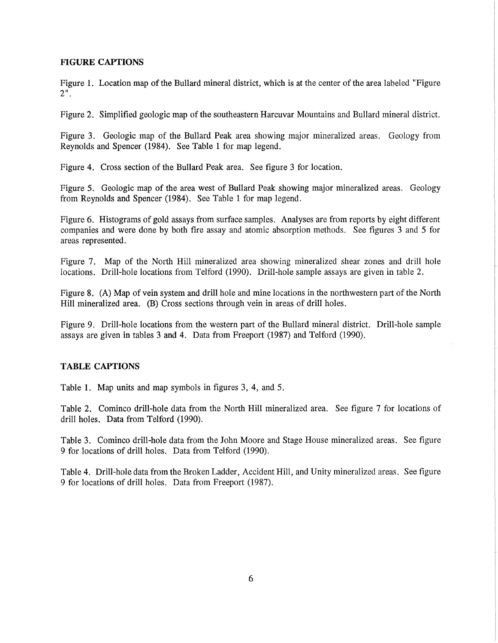## **FIGURE CAPTIONS**

Figure 1. Location map of the Bullard mineral district, which is at the center of the area labeled "Figure 2".

Figure 2. Simplified geologic map of the southeastern Harcuvar Mountains and Bullard mineral district.

Figure 3. Geologic map of the Bullard Peak area showing major mineralized areas. Geology from Reynolds and Spencer (1984). See Table 1 for map legend.

Figure 4. Cross section of the Bullard Peak area. See figure 3 for location.

Figure 5. Geologic map of the area west of Bullard Peak showing major mineralized areas. Geology from Reynolds and Spencer (1984). See Table 1 for map legend.

Figure 6. Histograms of gold assays from surface samples. Analyses are from reports by eight different companies and were done by both fire assay and atomic absorption methods. See figures 3 and 5 for areas represented.

Figure 7. Map of the North Hill mineralized area showing mineralized shear zones and drill hole locations. Drill-hole locations from Telford (1990). Drill-hole sample assays are given in table 2.

Figure 8. (A) Map of vein system and drill hole and mine locations in the northwestern part of the North Hill mineralized area. (B) Cross sections through vein in areas of drill holes.

Figure 9. Drill-hole locations from the western part of the Bullard mineral district. Drill-hole sample assays are given in tables 3 and 4. Data from Freeport (1987) and Telford (1990).

## **TABLE CAPTIONS**

Table 1. Map units and map symbols in figures 3, 4, and 5.

Table 2. Cominco drill-hole data from the North Hill mineralized area. See figure 7 for locations of drill holes. Data from Telford (1990).

Table 3. Cominco drill-hole data from the John Moore and Stage House mineralized areas. See figure 9 for locations of drill holes. Data from Telford (1990).

Table 4. Drill-hole data from the Broken Ladder, Accident Hill, and Unity mineralized areas. See figure 9 for locations of drill holes. Data from Freeport (1987).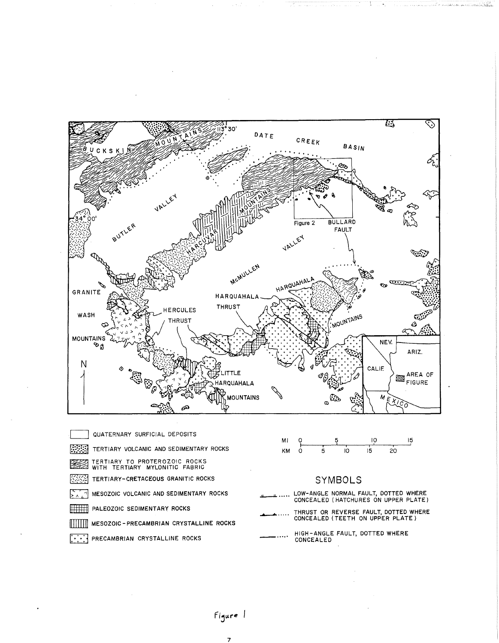

- 
- **HITTH PALEOZOIC SEDIMENTARY ROCKS**
- **IIIIIII** MESOZOIC-PRECAMBRIAN CRYSTALLINE ROCKS
- $\left[\begin{array}{cc} \cdot & \cdot \\ \cdot & \cdot \end{array}\right]$  PRECAMBRIAN CRYSTALLINE ROCKS
- LOW-ANGLE NORMAL FAULT, DOTTED WHERE<br>CONCEALED (HATCHURES ON UPPER PLATE)
- THRUST OR REVERSE FAULT, DOTTED WHERE<br>CONCEALED (TEETH ON UPPER PLATE)
	- HIGH-ANGLE FAULT, DOTTED WHERE . . . . . CONCEALED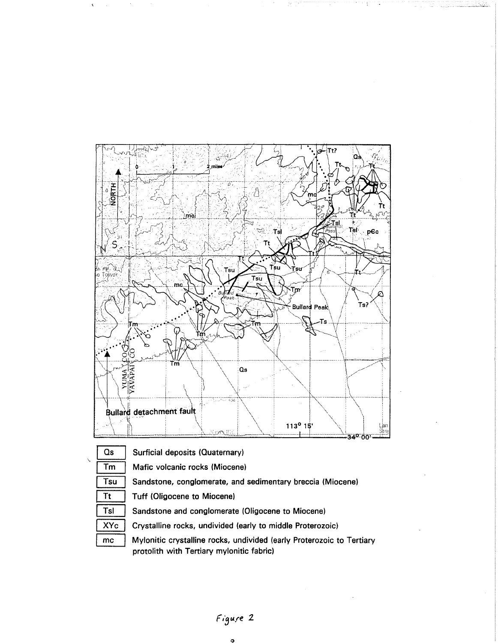

mc | Mylonitic crystalline rocks, undivided (early Proterozoic to Tertiary protolith with Tertiary mylonitic fabric)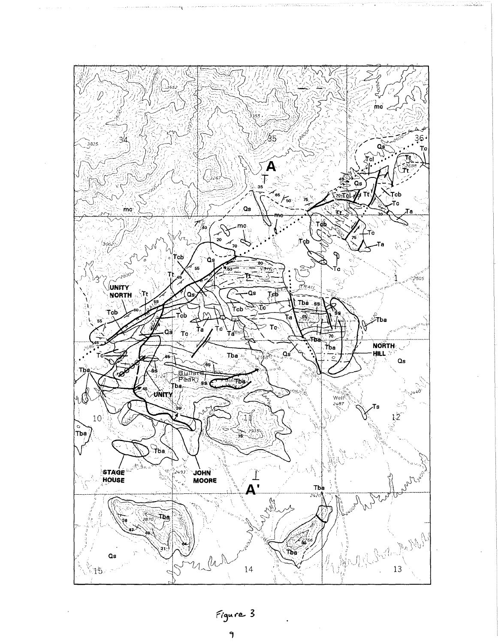

Figure 3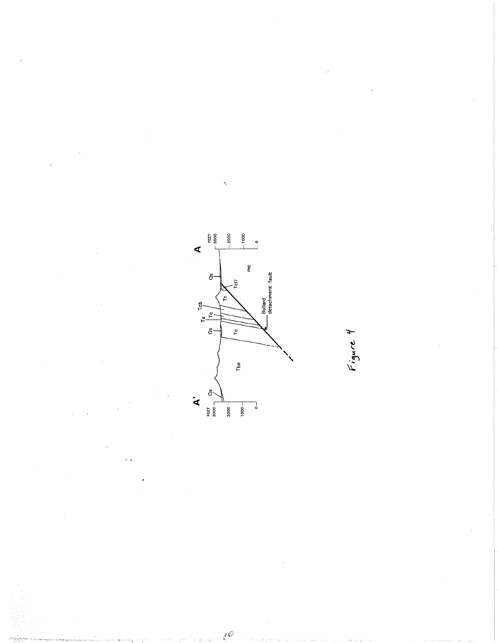

 $\sum_{i=1}^{n}$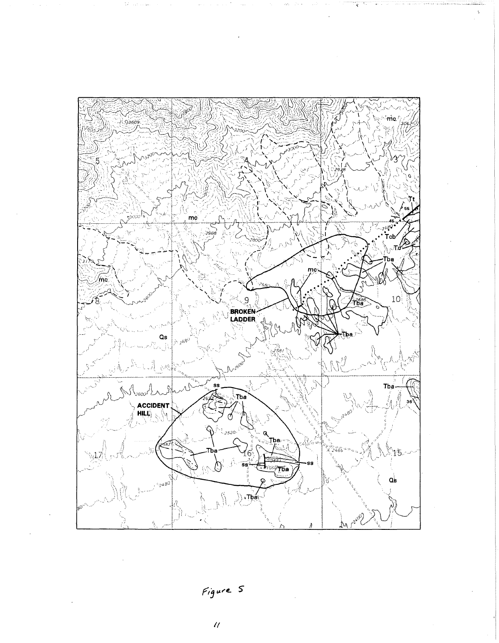

Telephonesia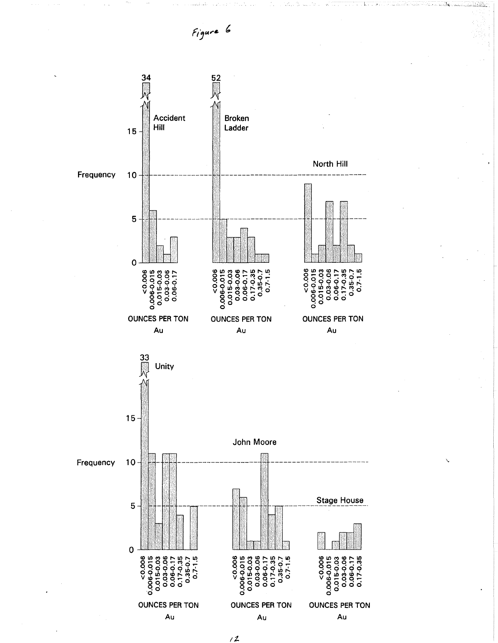Figure 6



*It..*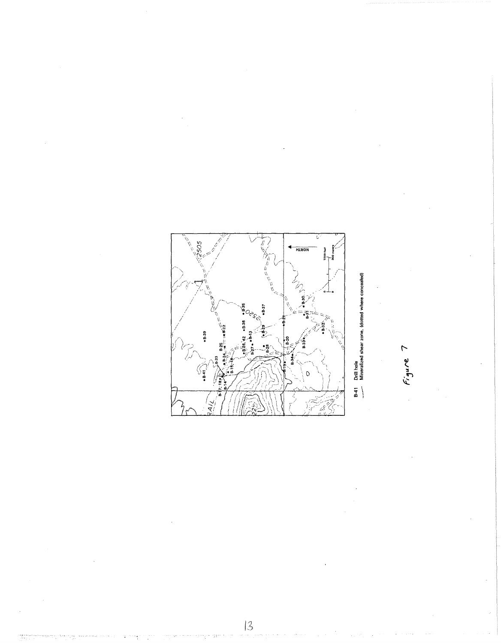

Figure 7

 $\frac{13}{2}$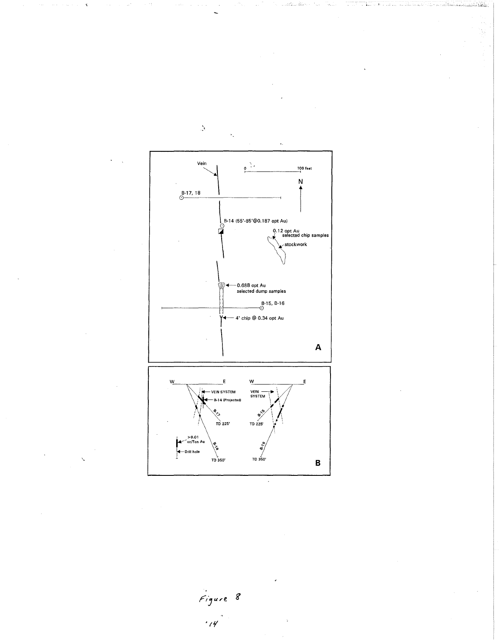

t.

Figure 8<br>14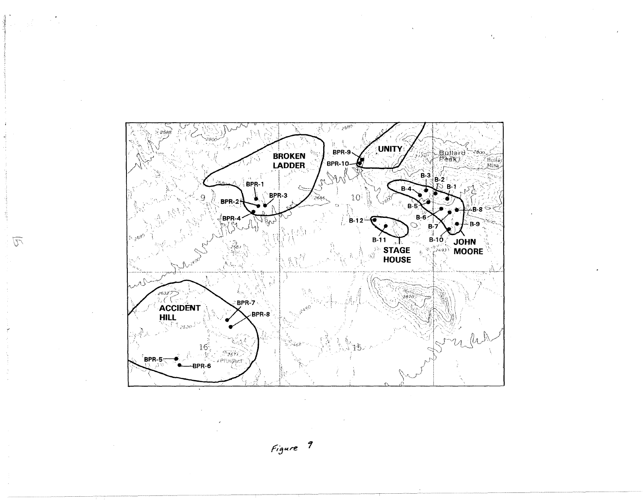

 $\frac{1}{2}$ 

 $\epsilon$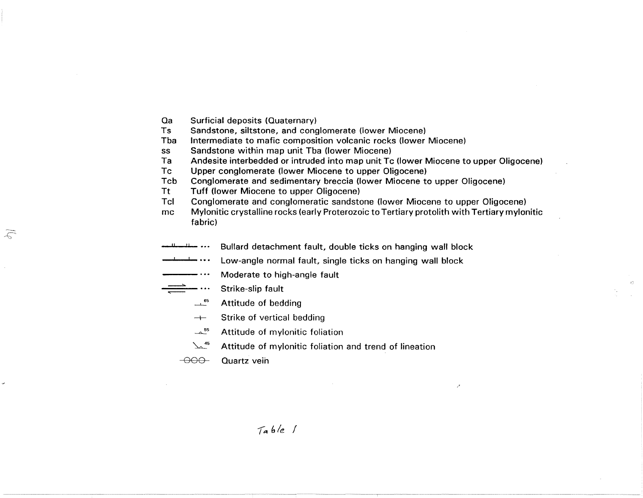- Surficial deposits (Quaternary) Qa
- Sandstone, siltstone, and conglomerate (lower Miocene)  $Ts$
- Tba Intermediate to mafic composition volcanic rocks (lower Miocene)
- Sandstone within map unit Tba (lower Miocene) SS.
- Andesite interbedded or intruded into map unit Tc (lower Miocene to upper Oligocene) Ta
- Tc Upper conglomerate (lower Miocene to upper Oligocene)
- Conglomerate and sedimentary breccia (lower Miocene to upper Oligocene) Tcb
- Tuff (lower Miocene to upper Oligocene) **Tt**
- Tcl Conglomerate and conglomeratic sandstone (lower Miocene to upper Oligocene)
- Mylonitic crystalline rocks (early Proterozoic to Tertiary protolith with Tertiary mylonitic mc fabric)
- Bullard detachment fault, double ticks on hanging wall block
- **. . . . . . .** Low-angle normal fault, single ticks on hanging wall block
- Moderate to high-angle fault
- Strike-slip fault
	- $\overline{)}$  65 Attitude of bedding
	- Strike of vertical bedding  $+$
	- $\overline{\phantom{0}}^{55}$ Attitude of mylonitic foliation
	- $\mathbf{L}^{45}$ Attitude of mylonitic foliation and trend of lineation
	- <del>-000 -</del> Quartz vein

 $\widetilde{\epsilon}$ 

 $Table 1$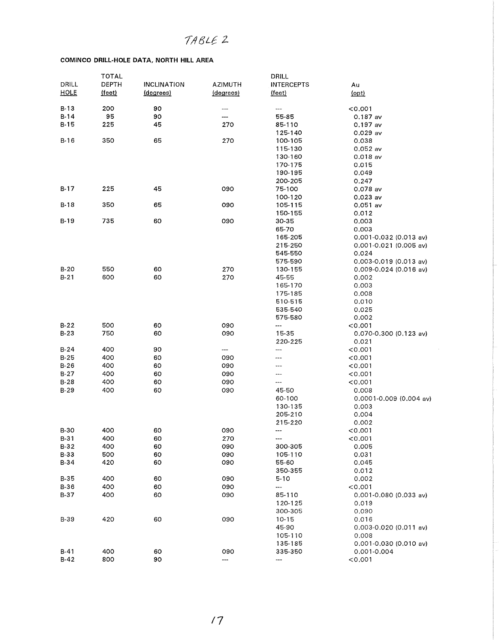# **COMINCO DRILL-HOLE DATA, NORTH HILL AREA**

|             | <b>TOTAL</b> |                    |                          | <b>DRILL</b>      |                            |
|-------------|--------------|--------------------|--------------------------|-------------------|----------------------------|
| DRILL       | <b>DEPTH</b> | <b>INCLINATION</b> | <b>AZIMUTH</b>           | <b>INTERCEPTS</b> | Au                         |
| <b>HOLE</b> | (feet)       | (degrees)          | (degrees)                | (feet)            | $($ opt $)$                |
|             |              |                    |                          |                   |                            |
| $B-13$      | 200          | 90                 | $---$                    | ---               | <0.001                     |
| $B-14$      | 95           | 90                 | ---                      | 55-85             | $0.187$ av                 |
| $B-15$      | 225          | 45                 | 270                      | 85-110            | $0.197$ av                 |
|             |              |                    |                          | 125-140           | $0.029$ av                 |
| $B-16$      | 350          | 65                 | 270                      | 100-105           | 0.038                      |
|             |              |                    |                          | 115-130           | $0.052$ av                 |
|             |              |                    |                          | 130-160           | $0.018$ av                 |
|             |              |                    |                          | 170-175           | 0.015                      |
|             |              |                    |                          | 190-195           | 0.049                      |
|             |              |                    |                          | 200-205           | 0.247                      |
| $B-17$      | 225          | 45                 | 090                      | 75-100            | $0.078$ av                 |
|             |              |                    |                          | 100-120           | $0.023$ av                 |
| $B-18$      | 350          | 65                 | 090                      | 105-115           | $0.051$ av                 |
|             |              |                    |                          | 150-155           | 0.012                      |
| $B-19$      | 735          | 60                 | 090                      | 30-35             | 0.003                      |
|             |              |                    |                          | 65-70             | 0.003                      |
|             |              |                    |                          | 165-205           | 0.001-0.032 (0.013 av)     |
|             |              |                    |                          | 215-250           | 0.001-0.021 (0.005 av)     |
|             |              |                    |                          | 545-550           | 0.024                      |
|             |              |                    |                          | 575-590           | 0.003-0.019 (0.013 av)     |
| $B-2O$      | 550          | 60                 | 270                      | 130-155           | 0.009-0.024 (0.016 av)     |
| $B - 21$    | 600          | 60                 | 270                      | 45-55             | 0.002                      |
|             |              |                    |                          | 165-170           | 0.003                      |
|             |              |                    |                          | 175-185           | 0.008                      |
|             |              |                    |                          | 510-515           | 0.010                      |
|             |              |                    |                          | 535-540           | 0.025                      |
|             |              |                    |                          | 575-580           | 0.002                      |
| $B-22$      | 500          | 60                 | 090                      | ---               | 0.001                      |
| $B-23$      | 750          | 60                 | 090                      | 15-35             | $0.070 - 0.300$ (0.123 av) |
|             |              |                    |                          | 220-225           | 0.021                      |
| $B-24$      | 400          | 90                 | ---                      | ---               | < 0.001                    |
| $B-25$      | 400          | 60                 | 090                      |                   |                            |
| $B-26$      | 400          | 60                 | 090                      | $---$             | 0.001<br>0.001             |
| $B-27$      | 400          | 60                 | 090                      | ---               |                            |
|             | 400          | 60                 | 090                      |                   | 0.001                      |
| $B-28$      |              |                    |                          | ---               | 0.001                      |
| $B-29$      | 400          | 60                 | 090                      | 45-50             | 0.008                      |
|             |              |                    |                          | 60-100            | 0.0001-0.009 (0.004 av)    |
|             |              |                    |                          | 130-135           | 0.003                      |
|             |              |                    |                          | 205-210           | 0.004                      |
|             |              |                    |                          | 215-220           | 0.002                      |
| B-30        | 400          | 60                 | 090                      | $---$             | 0.001                      |
| $B-31$      | 400          | 60                 | 270                      | $--$              | 0.001                      |
| $B-32$      | 400          | 60                 | 090                      | 300-305           | 0.005                      |
| $B-33$      | 500          | 60                 | 090                      | 105-110           | 0.031                      |
| B-34        | 420          | 60                 | 090                      | 55-60             | 0.045                      |
|             |              |                    |                          | 350-355           | 0.012                      |
| B-35        | 400          | 60                 | 090                      | 5-10              | 0.002                      |
| $B-36$      | 400          | 60                 | 090                      | ---               | < 0.001                    |
| $B-37$      | 400          | 60                 | 090                      | 85-110            | 0.001-0.080 (0.033 av)     |
|             |              |                    |                          | 120-125           | 0.019                      |
|             |              |                    |                          | 300-305           | 0.090                      |
| B-39        | 420          | 60                 | 090                      | $10 - 15$         | 0.016                      |
|             |              |                    |                          | 45-90             | 0.003-0.020 (0.011 av)     |
|             |              |                    |                          | 105-110           | 0.008                      |
|             |              |                    |                          | 135-185           | 0.001-0.030 (0.010 av)     |
| $B-41$      | 400          | 60                 | 090                      | 335-350           | 0.001-0.004                |
| $B-42$      | 800          | 90                 | $\overline{\phantom{a}}$ | ---               | 0.001                      |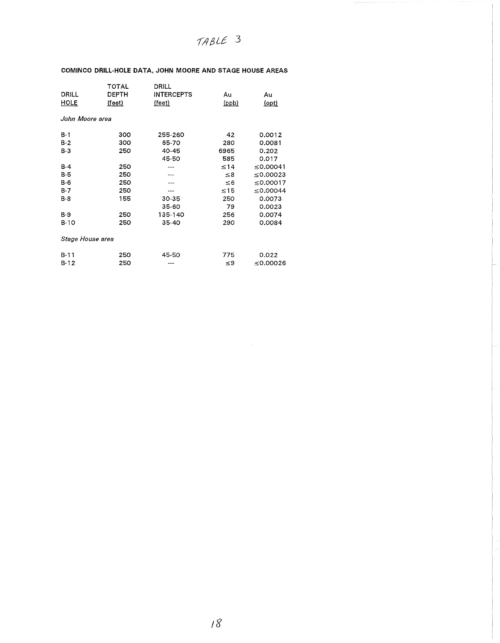# TABLE 3

# COMINCO DRILL-HOLE DATA, JOHN MOORE AND STAGE HOUSE AREAS

| <b>DEPTH</b><br>(feet) | <b>INTERCEPTS</b><br>(feet) | Au<br><u>(ppb)</u> | Au<br>(opt)    |  |  |  |  |  |  |  |
|------------------------|-----------------------------|--------------------|----------------|--|--|--|--|--|--|--|
| John Moore area        |                             |                    |                |  |  |  |  |  |  |  |
| 300                    | 255-260                     | 42                 | 0.0012         |  |  |  |  |  |  |  |
| 300                    | 65-70                       | 280                | 0.0081         |  |  |  |  |  |  |  |
| 250                    | 40-45                       | 6965               | 0.202          |  |  |  |  |  |  |  |
|                        | 45-50                       | 585                | 0.017          |  |  |  |  |  |  |  |
| 250                    |                             | $\leq 14$          | ≤0.00041       |  |  |  |  |  |  |  |
| 250                    | ---                         | $\leq 8$           | ≤0.00023       |  |  |  |  |  |  |  |
| 250                    |                             | $\leq 6$           | ≤0.00017       |  |  |  |  |  |  |  |
| 250                    |                             | $\leq 15$          | ≤0.00044       |  |  |  |  |  |  |  |
| 155                    | 30-35                       | 250                | 0.0073         |  |  |  |  |  |  |  |
|                        | 35-60                       | 79                 | 0.0023         |  |  |  |  |  |  |  |
| 250                    | 135-140                     | 256                | 0.0074         |  |  |  |  |  |  |  |
| 250                    | 35-40                       | 290                | 0.0084         |  |  |  |  |  |  |  |
| Stage House area       |                             |                    |                |  |  |  |  |  |  |  |
| 250                    | 45-50                       | 775                | 0.022          |  |  |  |  |  |  |  |
| 250                    | ---                         | $\leq 9$           | $\leq 0.00026$ |  |  |  |  |  |  |  |
|                        | TOTAL                       | DRILL              |                |  |  |  |  |  |  |  |